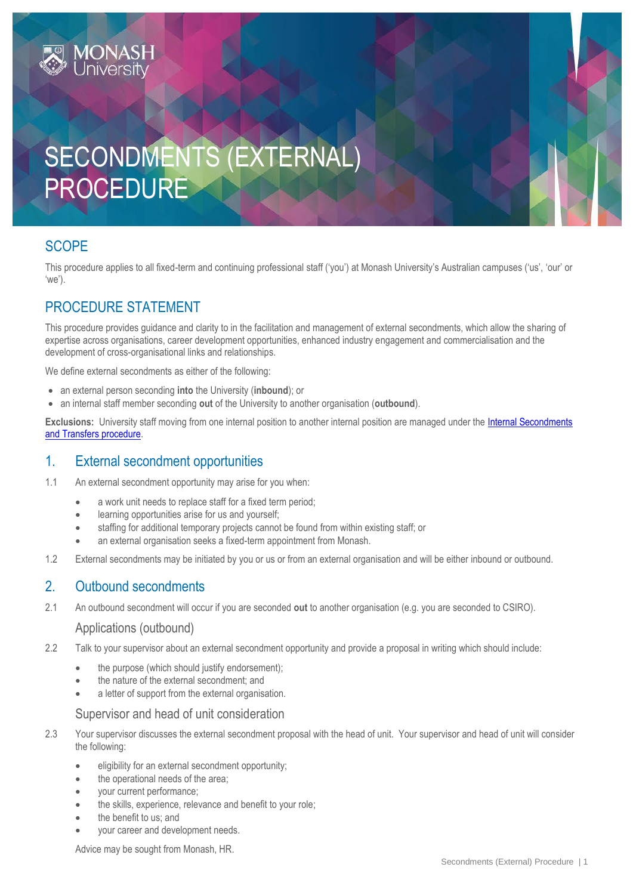# SECONDMENTS (EXTERNAL) PROCEDURE

# **SCOPE**

This procedure applies to all fixed-term and continuing professional staff ('you') at Monash University's Australian campuses ('us', 'our' or 'we').

# PROCEDURE STATEMENT

This procedure provides guidance and clarity to in the facilitation and management of external secondments, which allow the sharing of expertise across organisations, career development opportunities, enhanced industry engagement and commercialisation and the development of cross-organisational links and relationships.

We define external secondments as either of the following:

- an external person seconding **into** the University (**inbound**); or
- an internal staff member seconding **out** of the University to another organisation (**outbound**).

**Exclusions:** University staff moving from one internal position to another internal position are managed under the [Internal Secondments](https://publicpolicydms.monash.edu/Monash/documents/1935692)  [and Transfers procedure.](https://publicpolicydms.monash.edu/Monash/documents/1935692)

# 1. External secondment opportunities

1.1 An external secondment opportunity may arise for you when:

- a work unit needs to replace staff for a fixed term period:
- learning opportunities arise for us and yourself;
- staffing for additional temporary projects cannot be found from within existing staff; or
- an external organisation seeks a fixed-term appointment from Monash.
- 1.2 External secondments may be initiated by you or us or from an external organisation and will be either inbound or outbound.

# 2. Outbound secondments

2.1 An outbound secondment will occur if you are seconded **out** to another organisation (e.g. you are seconded to CSIRO).

#### Applications (outbound)

- 2.2 Talk to your supervisor about an external secondment opportunity and provide a proposal in writing which should include:
	- the purpose (which should justify endorsement);
	- the nature of the external secondment; and
	- a letter of support from the external organisation.

#### Supervisor and head of unit consideration

- 2.3 Your supervisor discusses the external secondment proposal with the head of unit. Your supervisor and head of unit will consider the following:
	- eligibility for an external secondment opportunity;
	- the operational needs of the area;
	- your current performance;
	- the skills, experience, relevance and benefit to your role;
	- the benefit to us; and
	- your career and development needs.

Advice may be sought from Monash, HR.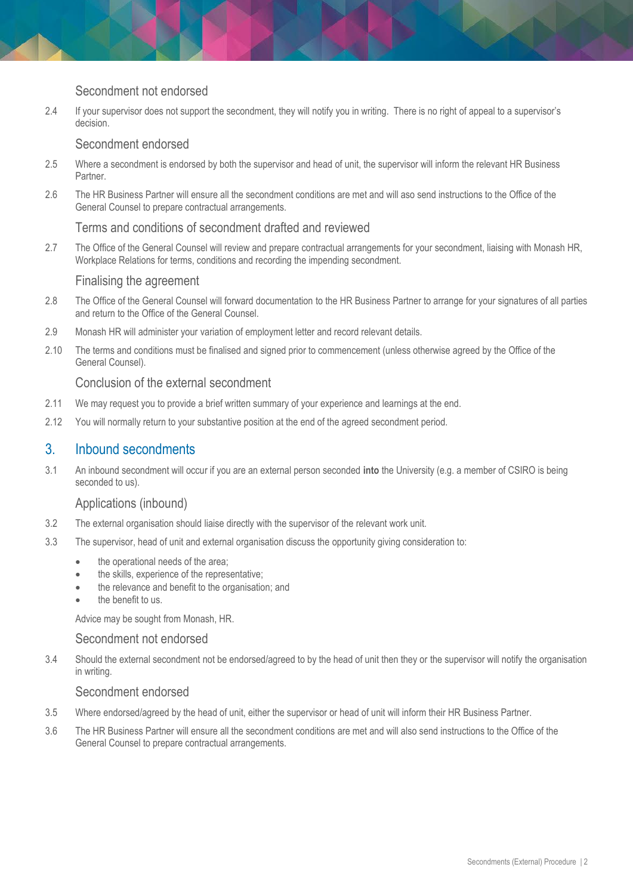## Secondment not endorsed

2.4 If your supervisor does not support the secondment, they will notify you in writing. There is no right of appeal to a supervisor's decision.

#### Secondment endorsed

- 2.5 Where a secondment is endorsed by both the supervisor and head of unit, the supervisor will inform the relevant HR Business Partner.
- 2.6 The HR Business Partner will ensure all the secondment conditions are met and will aso send instructions to the Office of the General Counsel to prepare contractual arrangements.

#### Terms and conditions of secondment drafted and reviewed

2.7 The Office of the General Counsel will review and prepare contractual arrangements for your secondment, liaising with Monash HR, Workplace Relations for terms, conditions and recording the impending secondment.

#### Finalising the agreement

- 2.8 The Office of the General Counsel will forward documentation to the HR Business Partner to arrange for your signatures of all parties and return to the Office of the General Counsel.
- 2.9 Monash HR will administer your variation of employment letter and record relevant details.
- 2.10 The terms and conditions must be finalised and signed prior to commencement (unless otherwise agreed by the Office of the General Counsel).

#### Conclusion of the external secondment

- 2.11 We may request you to provide a brief written summary of your experience and learnings at the end.
- 2.12 You will normally return to your substantive position at the end of the agreed secondment period.

## 3. Inbound secondments

3.1 An inbound secondment will occur if you are an external person seconded **into** the University (e.g. a member of CSIRO is being seconded to us).

#### Applications (inbound)

- 3.2 The external organisation should liaise directly with the supervisor of the relevant work unit.
- 3.3 The supervisor, head of unit and external organisation discuss the opportunity giving consideration to:
	- the operational needs of the area;
	- the skills, experience of the representative;
	- the relevance and benefit to the organisation; and
	- the benefit to us.

Advice may be sought from Monash, HR.

#### Secondment not endorsed

3.4 Should the external secondment not be endorsed/agreed to by the head of unit then they or the supervisor will notify the organisation in writing.

### Secondment endorsed

- 3.5 Where endorsed/agreed by the head of unit, either the supervisor or head of unit will inform their HR Business Partner.
- 3.6 The HR Business Partner will ensure all the secondment conditions are met and will also send instructions to the Office of the General Counsel to prepare contractual arrangements.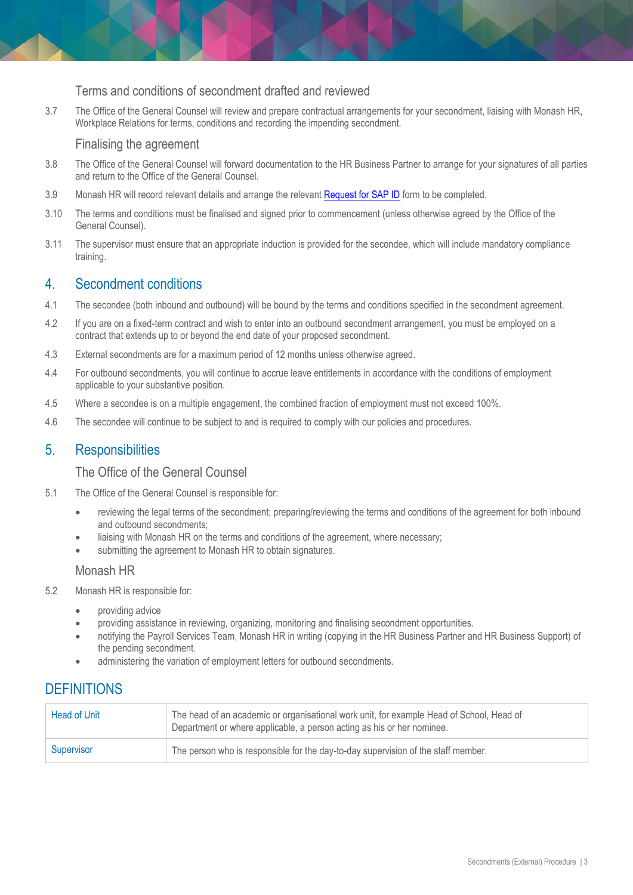#### Terms and conditions of secondment drafted and reviewed

3.7 The Office of the General Counsel will review and prepare contractual arrangements for your secondment, liaising with Monash HR, Workplace Relations for terms, conditions and recording the impending secondment.

#### Finalising the agreement

- 3.8 The Office of the General Counsel will forward documentation to the HR Business Partner to arrange for your signatures of all parties and return to the Office of the General Counsel.
- 3.9 Monash HR will record relevant details and arrange the relevan[t Request for SAP ID](https://forms.apps.monash.edu/frevvo/web/tn/monash.edu/u/614aac3c-8ab8-4309-9283-375663fa97d8/app/_-olowACQEeixi7BhDBJ2Mg/flowtype/_qCQ7cQCEEeiFS60Q_j-LAQ?_method=post&embed=true) form to be completed.
- 3.10 The terms and conditions must be finalised and signed prior to commencement (unless otherwise agreed by the Office of the General Counsel).
- 3.11 The supervisor must ensure that an appropriate induction is provided for the secondee, which will include mandatory compliance training.

## 4. Secondment conditions

- 4.1 The secondee (both inbound and outbound) will be bound by the terms and conditions specified in the secondment agreement.
- 4.2 If you are on a fixed-term contract and wish to enter into an outbound secondment arrangement, you must be employed on a contract that extends up to or beyond the end date of your proposed secondment.
- 4.3 External secondments are for a maximum period of 12 months unless otherwise agreed.
- 4.4 For outbound secondments, you will continue to accrue leave entitlements in accordance with the conditions of employment applicable to your substantive position.
- 4.5 Where a secondee is on a multiple engagement, the combined fraction of employment must not exceed 100%.
- 4.6 The secondee will continue to be subject to and is required to comply with our policies and procedures.

## 5. Responsibilities

#### The Office of the General Counsel

- 5.1 The Office of the General Counsel is responsible for:
	- reviewing the legal terms of the secondment; preparing/reviewing the terms and conditions of the agreement for both inbound and outbound secondments;
	- liaising with Monash HR on the terms and conditions of the agreement, where necessary;
	- submitting the agreement to Monash HR to obtain signatures.

#### Monash HR

- 5.2 Monash HR is responsible for:
	- providing advice
	- providing assistance in reviewing, organizing, monitoring and finalising secondment opportunities.
	- notifying the Payroll Services Team, Monash HR in writing (copying in the HR Business Partner and HR Business Support) of the pending secondment.
	- administering the variation of employment letters for outbound secondments.

# **DEFINITIONS**

| <b>Head of Unit</b> | The head of an academic or organisational work unit, for example Head of School, Head of<br>Department or where applicable, a person acting as his or her nominee. |
|---------------------|--------------------------------------------------------------------------------------------------------------------------------------------------------------------|
| Supervisor          | The person who is responsible for the day-to-day supervision of the staff member.                                                                                  |